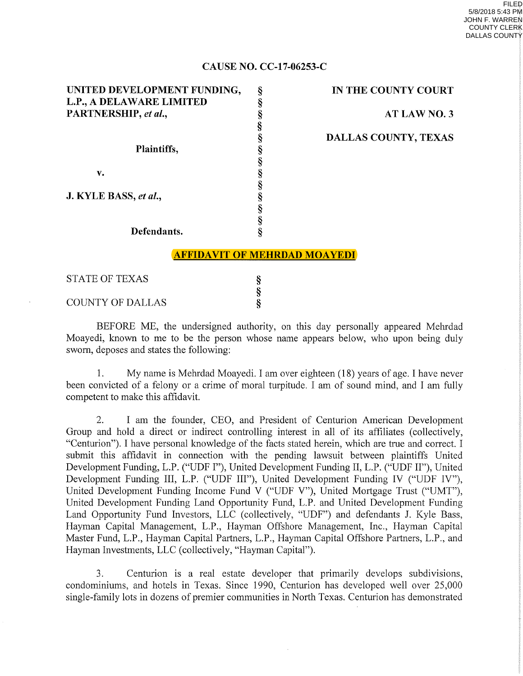**IN THE COUNTY COURT** 

**DALLAS COUNTY, TEXAS** 

**ATLAWNO.3** 

## **CAUSE NO. CC-17-06253-C**

| UNITED DEVELOPMENT FUNDING, | §                                   | IN TI       |
|-----------------------------|-------------------------------------|-------------|
| L.P., A DELAWARE LIMITED    | §                                   |             |
| PARTNERSHIP, et al.,        |                                     |             |
|                             |                                     |             |
|                             | S<br>S<br>S<br>S                    | <b>DALL</b> |
| Plaintiffs,                 |                                     |             |
|                             |                                     |             |
| v.                          |                                     |             |
|                             |                                     |             |
| J. KYLE BASS, et al.,       |                                     |             |
|                             |                                     |             |
|                             |                                     |             |
| Defendants.                 |                                     |             |
|                             |                                     |             |
|                             | <b>AFFIDAVIT OF MEHRDAD MOAYEDI</b> |             |
| <b>STATE OF TEXAS</b>       |                                     |             |
|                             | §                                   |             |
|                             |                                     |             |

COUNTY OF DALLAS

BEFORE ME, the undersigned authority, on this day personally appeared Mehrdad Moayedi, known to me to be the person whose name appears below, who upon being duly sworn, deposes and states the following:

§

1. My name is Mehrdad Moayedi. I am over eighteen (18) years of age. I have never been convicted of a felony or a crime of moral turpitude. I am of sound mind, and I am fully competent to make this affidavit.

2. I am the founder, CEO, and President of Centurion American Development Group and hold a direct or indirect controlling interest in all of its affiliates (collectively, "Centurion"). I have personal knowledge of the facts stated herein, which are true and correct. I submit this affidavit in connection with the pending lawsuit between plaintiffs United Development Funding, L.P. ("UDF I"), United Development Funding II, L.P. ("UDF II"), United Development Funding III, L.P. ("UDF III"), United Development Funding IV ("UDF IV"), United Development Funding Income Fund V ("UDF V"), United Mortgage Trust ("UMT"), United Development Funding Land Opportunity Fund, L.P. and United Development Funding Land Opportunity Fund Investors, LLC (collectively, "UDF") and defendants J. Kyle Bass, Hayman Capital Management, L.P., Hayman Offshore Management, Inc., Hayman Capital Master Fund, L.P., Hayman Capital Partners, L.P., Hayman Capital Offshore Partners, L.P., and Hayman Investments, LLC (collectively, "Hayman Capital").

3. Centurion is a real estate developer that primarily develops subdivisions, condominiums, and hotels in Texas. Since 1990, Centurion has developed well over 25,000 single-family lots in dozens of premier communities in North Texas. Centurion has demonstrated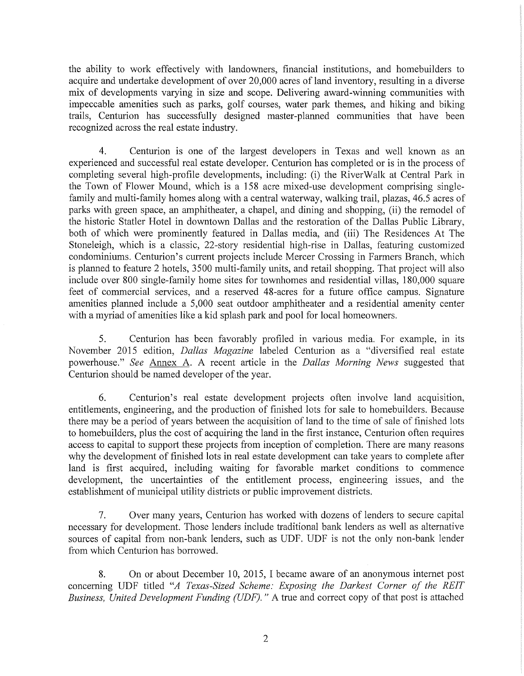the ability to work effectively with landowners, financial institutions, and homebuilders to acquire and undertake development of over 20,000 acres of land inventory, resulting in a diverse mix of developments varying in size and scope. Delivering award-winning communities with impeccable amenities such as parks, golf courses, water park themes, and hiking and biking trails, Centurion has successfully designed master-planned communities that have been recognized across the real estate industry.

4. Centurion is one of the largest developers in Texas and well known as an experienced and successful real estate developer. Centurion has completed or is in the process of completing several high-profile developments, including: (i) the RiverWalk at Central Park in the Town of Flower Mound, which is a 158 acre mixed-use development comprising singlefamily and multi-family homes along with a central waterway, walking trail, plazas, 46.5 acres of parks with green space, an amphitheater, a chapel, and dining and shopping, (ii) the remodel of the historic Statler Hotel in downtown Dallas and the restoration of the Dallas Public Library, both of which were prominently featured in Dallas media, and (iii) The Residences At The Stoneleigh, which is a classic, 22-story residential high-rise in Dallas, featuring customized condominiums. Centurion's current projects include Mercer Crossing in Farmers Branch, which is planned to feature 2 hotels, 3500 multi-family units, and retail shopping. That project will also include over 800 single-family home sites for townhomes and residential villas, 180,000 square feet of commercial services, and a reserved 48-acres for a future office campus. Signature amenities planned include a 5,000 seat outdoor amphitheater and a residential amenity center with a myriad of amenities like a kid splash park and pool for local homeowners.

5. Centurion has been favorably profiled in various media. For example, in its November 2015 edition, *Dallas Magazine* labeled Centurion as a "diversified real estate powerhouse." *See* Annex A. A recent article in the *Dallas Morning News* suggested that Centurion should be named developer of the year.

6. Centurion's real estate development projects often involve land acquisition, entitlements, engineering, and the production of finished lots for sale to homebuilders. Because there may be a period of years between the acquisition of land to the time of sale of finished lots to homebuilders, plus the cost of acquiring the land in the first instance, Centurion often requires access to capital to support these projects from inception of completion. There are many reasons why the development of finished lots in real estate development can take years to complete after land is first acquired, including waiting for favorable market conditions to commence development, the uncertainties of the entitlement process, engineering issues, and the establishment of municipal utility districts or public improvement districts.

7. Over many years, Centurion has worked with dozens of lenders to secure capital necessary for development. Those lenders include traditional bank lenders as well as alternative sources of capital from non-bank lenders, such as UDF. UDF is not the only non-bank lender from which Centurion has borrowed.

8. On or about December 10, 2015, I became aware of an anonymous internet post concerning UDF titled *"A Texas-Sized Scheme: Exposing the Darkest Corner of the REIT Business, United Development Funding (UDF).* " A true and correct copy of that post is attached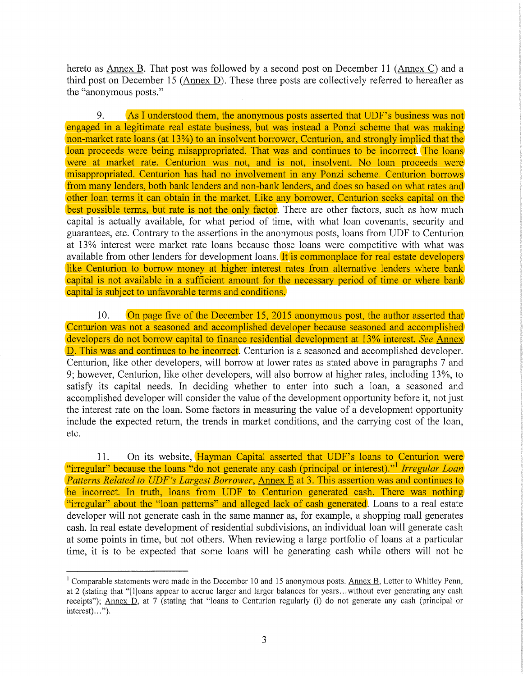hereto as Annex B. That post was followed by a second post on December 11 (Annex C) and a third post on December 15 (Annex D). These three posts are collectively referred to hereafter as the "anonymous posts."

9. As I understood them, the anonymous posts asserted that UDF's business was not engaged in a legitimate real estate business, but was instead a Ponzi scheme that was making non-market rate loans (at 13%) to an insolvent borrower, Centurion, and strongly implied that the loan proceeds were being misappropriated. That was and continues to be incorrect. The loans were at market rate. Centurion was not, and is not, insolvent. No loan proceeds were misappropriated. Centurion has had no involvement in any Ponzi scheme. Centurion borrows from many lenders, both bank lenders and non-bank lenders, and does so based on what rates and other loan terms it can obtain in the market. Like any borrower, Centurion seeks capital on the best possible terms, but rate is not the only factor. There are other factors, such as how much capital is actually available, for what period of time, with what loan covenants, security and guarantees, etc. Contrary to the assertions in the anonymous posts, loans from UDF to Centurion at 13% interest were market rate loans because those loans were competitive with what was available from other lenders for development loans. It is commonplace for real estate developers like Centurion to borrow money at higher interest rates from alternative lenders where bank capital is not available in a sufficient amount for the necessary period of time or where bank capital is subject to unfavorable terms and conditions.

10. On page five of the December 15, 2015 anonymous post, the author asserted that Centurion was not a seasoned and accomplished developer because seasoned and accomplished developers do not borrow capital to finance residential development at 13% interest. *See* Annex D. This was and continues to be incorrect. Centurion is a seasoned and accomplished developer. Centurion, like other developers, will borrow at lower rates as stated above in paragraphs 7 and 9; however, Centurion, like other developers, will also borrow at higher rates, including 13%, to satisfy its capital needs. In deciding whether to enter into such a loan, a seasoned and accomplished developer will consider the value of the development opportunity before it, not just the interest rate on the loan. Some factors in measuring the value of a development opportunity include the expected return, the trends in market conditions, and the carrying cost of the loan, etc.

11. On its website, Hayman Capital asserted that UDF's loans to Centurion were "irregular" because the loans "do not generate any cash (principal or interest)." <sup>1</sup>*Irregular Loan Patterns Related to UDF's Largest Borrower, Annex E at 3. This assertion was and continues to* be incorrect. In truth, loans from UDF to Centurion generated cash. There was nothing "irregular" about the "loan patterns" and alleged lack of cash generated. Loans to a real estate developer will not generate cash in the same manner as, for example, a shopping mall generates cash. In real estate development of residential subdivisions, an individual loan will generate cash at some points in time, but not others. When reviewing a large portfolio of loans at a particular time, it is to be expected that some loans will be generating cash while others will not be

<sup>&</sup>lt;sup>1</sup> Comparable statements were made in the December 10 and 15 anonymous posts. Annex B, Letter to Whitley Penn, at 2 (stating that "[!Joans appear to accrue larger and larger balances for years ... without ever generating any cash receipts"); Annex D, at 7 (stating that "loans to Centurion regularly (i) do not generate any cash (principal or  $interest) \dots$ ").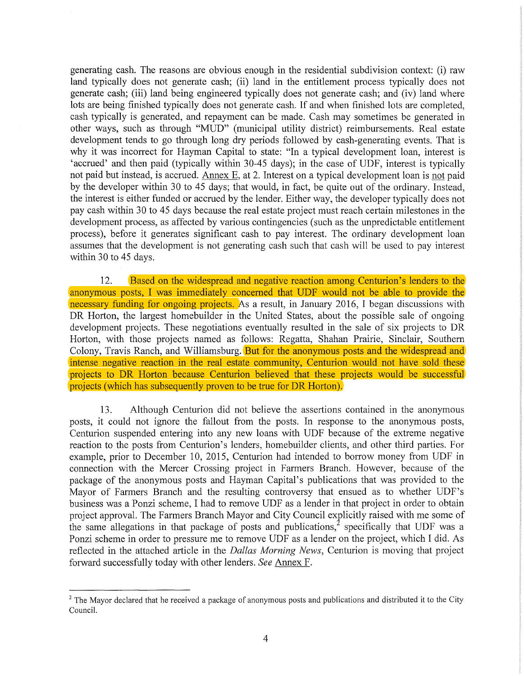generating cash. The reasons are obvious enough in the residential subdivision context: (i) raw land typically does not generate cash; (ii) land in the entitlement process typically does not generate cash; (iii) land being engineered typically does not generate cash; and (iv) land where lots are being finished typically does not generate cash. If and when finished lots are completed, cash typically is generated, and repayment can be made. Cash may sometimes be generated in other ways, such as through "MUD" (municipal utility district) reimbursements. Real estate development tends to go through long dry periods followed by cash-generating events. That is why it was incorrect for Hayman Capital to state: "In a typical development loan, interest is 'accrued' and then paid (typically within 30-45 days); in the case of UDF, interest is typically not paid but instead, is accrued. Annex E, at 2. Interest on a typical development loan is not paid by the developer within 30 to 45 days; that would, in fact, be quite out of the ordinary. Instead, the interest is either funded or accrued by the lender. Either way, the developer typically does not pay cash within 30 to 45 days because the real estate project must reach certain milestones in the development process, as affected by various contingencies (such as the unpredictable entitlement process), before it generates significant cash to pay interest. The ordinary development loan assumes that the development is not generating cash such that cash will be used to pay interest within 30 to 45 days.

12. Based on the widespread and negative reaction among Centurion's lenders to the anonymous posts, I was immediately concerned that UDF would not be able to provide the necessary funding for ongoing projects. As a result, in January 2016, I began discussions with DR Horton, the largest homebuilder in the United States, about the possible sale of ongoing development projects. These negotiations eventually resulted in the sale of six projects to DR Horton, with those projects named as follows: Regatta, Shahan Prairie, Sinclair, Southern Colony, Travis Ranch, and Williamsburg. But for the anonymous posts and the widespread and intense negative reaction in the real estate community, Centurion would not have sold these projects to DR Horton because Centurion believed that these projects would be successful projects (which has subsequently proven to be true for DR Horton).

13. Although Centurion did not believe the assertions contained in the anonymous posts, it could not ignore the fallout from the posts. In response to the anonymous posts, Centurion suspended entering into any new loans with UDF because of the extreme negative reaction to the posts from Centurion's lenders, homebuilder clients, and other third parties. For example, prior to December 10, 2015, Centurion had intended to borrow money from UDF in connection with the Mercer Crossing project in Farmers Branch. However, because of the package of the anonymous posts and Hayman Capital's publications that was provided to the Mayor of Farmers Branch and the resulting controversy that ensued as to whether UDF's business was a Ponzi scheme, I had to remove UDF as a lender in that project in order to obtain project approval. The Farmers Branch Mayor and City Council explicitly raised with me some of the same allegations in that package of posts and publications,<sup>2</sup> specifically that UDF was a Ponzi scheme in order to pressure me to remove UDF as a lender on the project, which I did. As reflected in the attached article in the *Dallas Morning News,* Centurion is moving that project forward successfully today with other lenders. *See* Annex F.

<sup>&</sup>lt;sup>2</sup> The Mayor declared that he received a package of anonymous posts and publications and distributed it to the City Council.